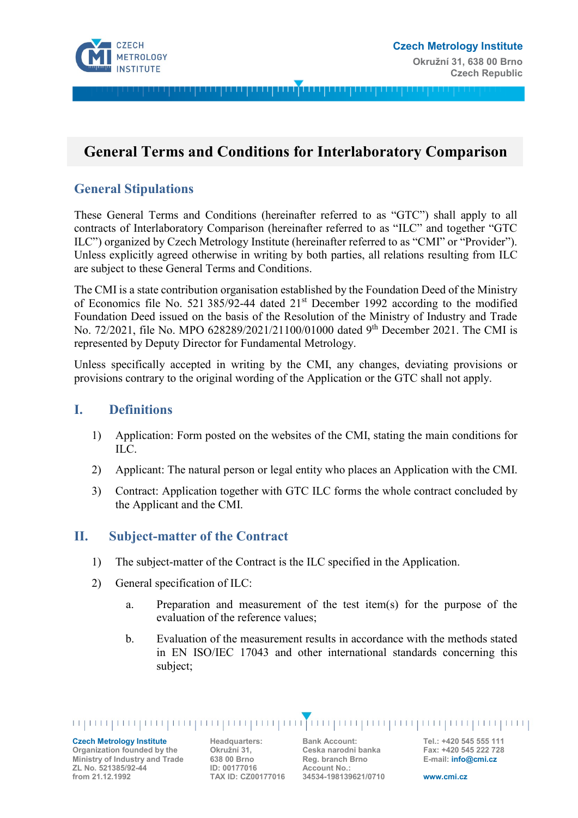

# **General Terms and Conditions for Interlaboratory Comparison**

#### **General Stipulations**

These General Terms and Conditions (hereinafter referred to as "GTC") shall apply to all contracts of Interlaboratory Comparison (hereinafter referred to as "ILC" and together "GTC ILC") organized by Czech Metrology Institute (hereinafter referred to as "CMI" or "Provider"). Unless explicitly agreed otherwise in writing by both parties, all relations resulting from ILC are subject to these General Terms and Conditions.

The CMI is a state contribution organisation established by the Foundation Deed of the Ministry of Economics file No. 521 385/92-44 dated 21st December 1992 according to the modified Foundation Deed issued on the basis of the Resolution of the Ministry of Industry and Trade No. 72/2021, file No. MPO 628289/2021/21100/01000 dated 9<sup>th</sup> December 2021. The CMI is represented by Deputy Director for Fundamental Metrology.

Unless specifically accepted in writing by the CMI, any changes, deviating provisions or provisions contrary to the original wording of the Application or the GTC shall not apply.

#### **I. Definitions**

- 1) Application: Form posted on the websites of the CMI, stating the main conditions for ILC.
- 2) Applicant: The natural person or legal entity who places an Application with the CMI.
- 3) Contract: Application together with GTC ILC forms the whole contract concluded by the Applicant and the CMI.

#### **II. Subject-matter of the Contract**

- 1) The subject-matter of the Contract is the ILC specified in the Application.
- 2) General specification of ILC:
	- a. Preparation and measurement of the test item(s) for the purpose of the evaluation of the reference values;
	- b. Evaluation of the measurement results in accordance with the methods stated in EN ISO/IEC 17043 and other international standards concerning this subject;

**Czech Metrology Institute Organization founded by the Ministry of Industry and Trade ZL No. 521385/92-44 from 21.12.1992**

**Headquarters: Okružní 31, 638 00 Brno ID: 00177016 TAX ID: CZ00177016** **Bank Account: Ceska narodni banka Reg. branch Brno Account No.: 34534-198139621/0710**

**Tel.: +420 545 555 111 Fax: +420 545 222 728 E-mail: info@cmi.cz**

**www.cmi.cz**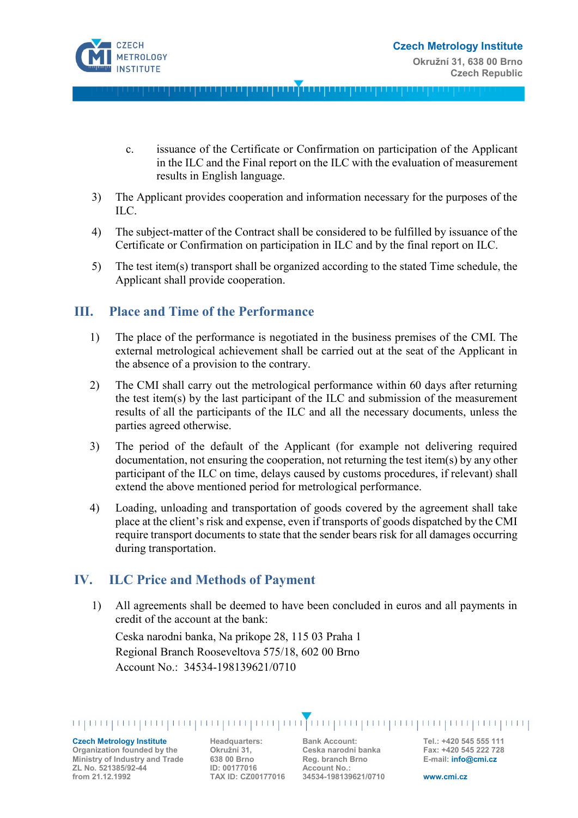

- c. issuance of the Certificate or Confirmation on participation of the Applicant in the ILC and the Final report on the ILC with the evaluation of measurement results in English language.
- 3) The Applicant provides cooperation and information necessary for the purposes of the ILC.
- 4) The subject-matter of the Contract shall be considered to be fulfilled by issuance of the Certificate or Confirmation on participation in ILC and by the final report on ILC.
- 5) The test item(s) transport shall be organized according to the stated Time schedule, the Applicant shall provide cooperation.

#### **III. Place and Time of the Performance**

- 1) The place of the performance is negotiated in the business premises of the CMI. The external metrological achievement shall be carried out at the seat of the Applicant in the absence of a provision to the contrary.
- 2) The CMI shall carry out the metrological performance within 60 days after returning the test item(s) by the last participant of the ILC and submission of the measurement results of all the participants of the ILC and all the necessary documents, unless the parties agreed otherwise.
- 3) The period of the default of the Applicant (for example not delivering required documentation, not ensuring the cooperation, not returning the test item(s) by any other participant of the ILC on time, delays caused by customs procedures, if relevant) shall extend the above mentioned period for metrological performance.
- 4) Loading, unloading and transportation of goods covered by the agreement shall take place at the client's risk and expense, even if transports of goods dispatched by the CMI require transport documents to state that the sender bears risk for all damages occurring during transportation.

# **IV. ILC Price and Methods of Payment**

1) All agreements shall be deemed to have been concluded in euros and all payments in credit of the account at the bank:

Ceska narodni banka, Na prikope 28, 115 03 Praha 1 Regional Branch Rooseveltova 575/18, 602 00 Brno Account No.: 34534-198139621/0710

**Czech Metrology Institute Organization founded by the Ministry of Industry and Trade ZL No. 521385/92-44 from 21.12.1992**

**Headquarters: Okružní 31, 638 00 Brno ID: 00177016 TAX ID: CZ00177016** **Bank Account: Ceska narodni banka Reg. branch Brno Account No.: 34534-198139621/0710**

**Tel.: +420 545 555 111 Fax: +420 545 222 728 E-mail: info@cmi.cz**

**www.cmi.cz**

in in primirinin primirinin primirinin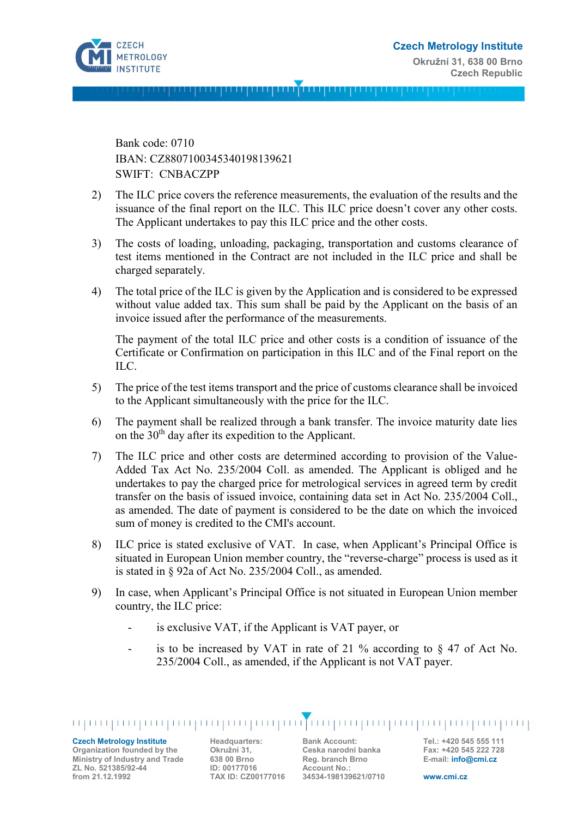

Bank code: 0710 IBAN: CZ8807100345340198139621 SWIFT: CNBACZPP

- 2) The ILC price covers the reference measurements, the evaluation of the results and the issuance of the final report on the ILC. This ILC price doesn't cover any other costs. The Applicant undertakes to pay this ILC price and the other costs.
- 3) The costs of loading, unloading, packaging, transportation and customs clearance of test items mentioned in the Contract are not included in the ILC price and shall be charged separately.
- 4) The total price of the ILC is given by the Application and is considered to be expressed without value added tax. This sum shall be paid by the Applicant on the basis of an invoice issued after the performance of the measurements.

The payment of the total ILC price and other costs is a condition of issuance of the Certificate or Confirmation on participation in this ILC and of the Final report on the ILC.

- 5) The price of the test items transport and the price of customs clearance shall be invoiced to the Applicant simultaneously with the price for the ILC.
- 6) The payment shall be realized through a bank transfer. The invoice maturity date lies on the  $30<sup>th</sup>$  day after its expedition to the Applicant.
- 7) The ILC price and other costs are determined according to provision of the Value-Added Tax Act No. 235/2004 Coll. as amended. The Applicant is obliged and he undertakes to pay the charged price for metrological services in agreed term by credit transfer on the basis of issued invoice, containing data set in Act No. 235/2004 Coll., as amended. The date of payment is considered to be the date on which the invoiced sum of money is credited to the CMI's account.
- 8) ILC price is stated exclusive of VAT. In case, when Applicant's Principal Office is situated in European Union member country, the "reverse-charge" process is used as it is stated in § 92a of Act No. 235/2004 Coll., as amended.
- 9) In case, when Applicant's Principal Office is not situated in European Union member country, the ILC price:
	- is exclusive VAT, if the Applicant is VAT payer, or
	- is to be increased by VAT in rate of 21 % according to  $\S$  47 of Act No. 235/2004 Coll., as amended, if the Applicant is not VAT payer.

**Czech Metrology Institute**

**Organization founded by the Ministry of Industry and Trade ZL No. 521385/92-44 from 21.12.1992**

**Headquarters: Okružní 31, 638 00 Brno ID: 00177016 TAX ID: CZ00177016** **Bank Account: Ceska narodni banka Reg. branch Brno Account No.: 34534-198139621/0710**

**Tel.: +420 545 555 111 Fax: +420 545 222 728 E-mail: info@cmi.cz**

**www.cmi.cz**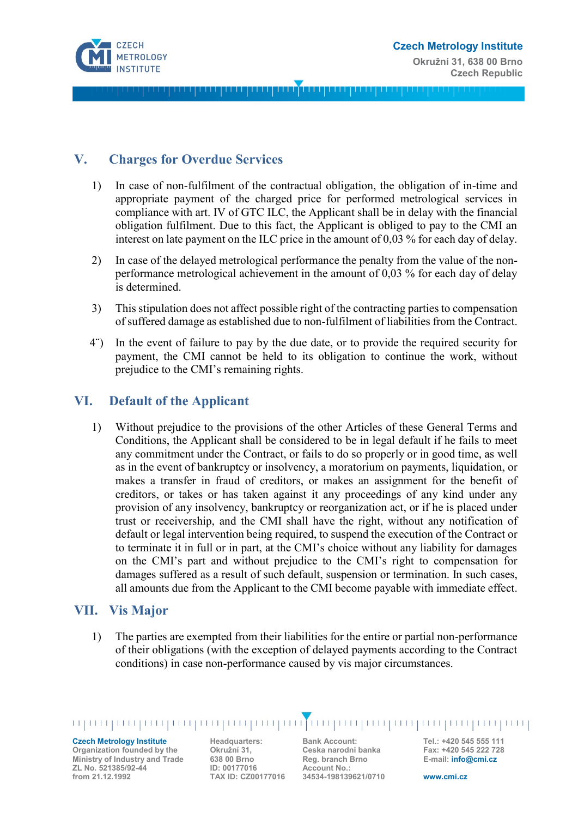

## **V. Charges for Overdue Services**

- 1) In case of non-fulfilment of the contractual obligation, the obligation of in-time and appropriate payment of the charged price for performed metrological services in compliance with art. IV of GTC ILC, the Applicant shall be in delay with the financial obligation fulfilment. Due to this fact, the Applicant is obliged to pay to the CMI an interest on late payment on the ILC price in the amount of 0,03 % for each day of delay.
- 2) In case of the delayed metrological performance the penalty from the value of the nonperformance metrological achievement in the amount of 0,03 % for each day of delay is determined.
- 3) This stipulation does not affect possible right of the contracting parties to compensation of suffered damage as established due to non-fulfilment of liabilities from the Contract.
- 4¨) In the event of failure to pay by the due date, or to provide the required security for payment, the CMI cannot be held to its obligation to continue the work, without prejudice to the CMI's remaining rights.

#### **VI. Default of the Applicant**

1) Without prejudice to the provisions of the other Articles of these General Terms and Conditions, the Applicant shall be considered to be in legal default if he fails to meet any commitment under the Contract, or fails to do so properly or in good time, as well as in the event of bankruptcy or insolvency, a moratorium on payments, liquidation, or makes a transfer in fraud of creditors, or makes an assignment for the benefit of creditors, or takes or has taken against it any proceedings of any kind under any provision of any insolvency, bankruptcy or reorganization act, or if he is placed under trust or receivership, and the CMI shall have the right, without any notification of default or legal intervention being required, to suspend the execution of the Contract or to terminate it in full or in part, at the CMI's choice without any liability for damages on the CMI's part and without prejudice to the CMI's right to compensation for damages suffered as a result of such default, suspension or termination. In such cases, all amounts due from the Applicant to the CMI become payable with immediate effect.

#### **VII. Vis Major**

1) The parties are exempted from their liabilities for the entire or partial non-performance of their obligations (with the exception of delayed payments according to the Contract conditions) in case non-performance caused by vis major circumstances.

#### **Czech Metrology Institute**

**Organization founded by the Ministry of Industry and Trade ZL No. 521385/92-44 from 21.12.1992**

**Headquarters: Okružní 31, 638 00 Brno ID: 00177016 TAX ID: CZ00177016** **Bank Account: Ceska narodni banka Reg. branch Brno Account No.: 34534-198139621/0710** **Tel.: +420 545 555 111 Fax: +420 545 222 728 E-mail: info@cmi.cz**

**www.cmi.cz**

in in primirinin primirinin primirinin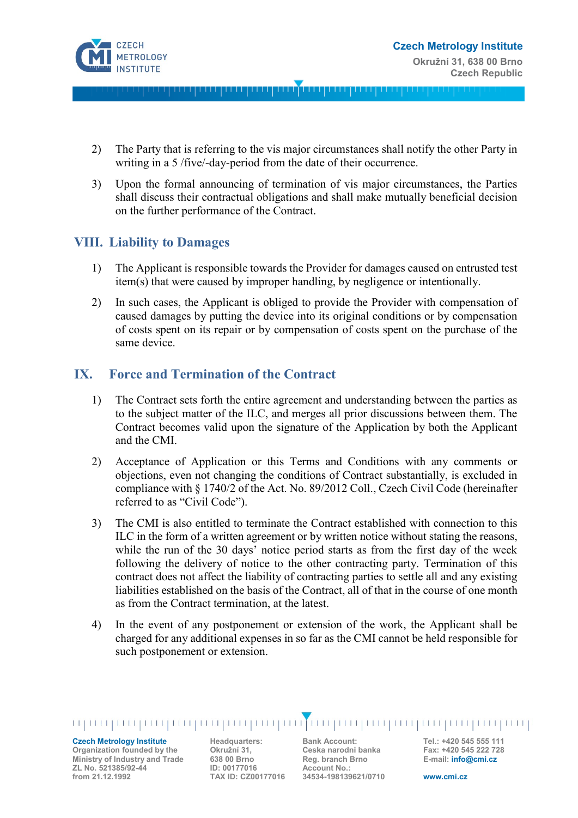

- 2) The Party that is referring to the vis major circumstances shall notify the other Party in writing in a 5 /five/-day-period from the date of their occurrence.
- 3) Upon the formal announcing of termination of vis major circumstances, the Parties shall discuss their contractual obligations and shall make mutually beneficial decision on the further performance of the Contract.

## **VIII. Liability to Damages**

- 1) The Applicant is responsible towards the Provider for damages caused on entrusted test item(s) that were caused by improper handling, by negligence or intentionally.
- 2) In such cases, the Applicant is obliged to provide the Provider with compensation of caused damages by putting the device into its original conditions or by compensation of costs spent on its repair or by compensation of costs spent on the purchase of the same device.

## **IX. Force and Termination of the Contract**

- 1) The Contract sets forth the entire agreement and understanding between the parties as to the subject matter of the ILC, and merges all prior discussions between them. The Contract becomes valid upon the signature of the Application by both the Applicant and the CMI.
- 2) Acceptance of Application or this Terms and Conditions with any comments or objections, even not changing the conditions of Contract substantially, is excluded in compliance with § 1740/2 of the Act. No. 89/2012 Coll., Czech Civil Code (hereinafter referred to as "Civil Code").
- 3) The CMI is also entitled to terminate the Contract established with connection to this ILC in the form of a written agreement or by written notice without stating the reasons, while the run of the 30 days' notice period starts as from the first day of the week following the delivery of notice to the other contracting party. Termination of this contract does not affect the liability of contracting parties to settle all and any existing liabilities established on the basis of the Contract, all of that in the course of one month as from the Contract termination, at the latest.
- 4) In the event of any postponement or extension of the work, the Applicant shall be charged for any additional expenses in so far as the CMI cannot be held responsible for such postponement or extension.

**Czech Metrology Institute Organization founded by the Ministry of Industry and Trade ZL No. 521385/92-44 from 21.12.1992**

**Headquarters: Okružní 31, 638 00 Brno ID: 00177016 TAX ID: CZ00177016** **Bank Account: Ceska narodni banka Reg. branch Brno Account No.: 34534-198139621/0710**

**Tel.: +420 545 555 111 Fax: +420 545 222 728 E-mail: info@cmi.cz**

**www.cmi.cz**

ing proprogram program program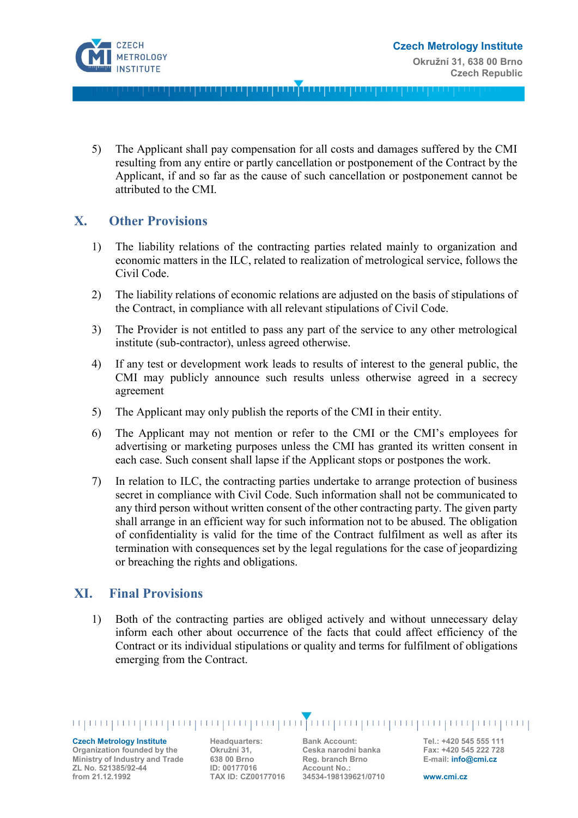

5) The Applicant shall pay compensation for all costs and damages suffered by the CMI resulting from any entire or partly cancellation or postponement of the Contract by the Applicant, if and so far as the cause of such cancellation or postponement cannot be attributed to the CMI.

## **X. Other Provisions**

- 1) The liability relations of the contracting parties related mainly to organization and economic matters in the ILC, related to realization of metrological service, follows the Civil Code.
- 2) The liability relations of economic relations are adjusted on the basis of stipulations of the Contract, in compliance with all relevant stipulations of Civil Code.
- 3) The Provider is not entitled to pass any part of the service to any other metrological institute (sub-contractor), unless agreed otherwise.
- 4) If any test or development work leads to results of interest to the general public, the CMI may publicly announce such results unless otherwise agreed in a secrecy agreement
- 5) The Applicant may only publish the reports of the CMI in their entity.
- 6) The Applicant may not mention or refer to the CMI or the CMI's employees for advertising or marketing purposes unless the CMI has granted its written consent in each case. Such consent shall lapse if the Applicant stops or postpones the work.
- 7) In relation to ILC, the contracting parties undertake to arrange protection of business secret in compliance with Civil Code. Such information shall not be communicated to any third person without written consent of the other contracting party. The given party shall arrange in an efficient way for such information not to be abused. The obligation of confidentiality is valid for the time of the Contract fulfilment as well as after its termination with consequences set by the legal regulations for the case of jeopardizing or breaching the rights and obligations.

#### **XI. Final Provisions**

1) Both of the contracting parties are obliged actively and without unnecessary delay inform each other about occurrence of the facts that could affect efficiency of the Contract or its individual stipulations or quality and terms for fulfilment of obligations emerging from the Contract.

#### **Czech Metrology Institute Organization founded by the**

mpungungungungungungungungun

**Ministry of Industry and Trade ZL No. 521385/92-44 from 21.12.1992**

**Headquarters: Okružní 31, 638 00 Brno ID: 00177016 TAX ID: CZ00177016** **Bank Account: Ceska narodni banka Reg. branch Brno Account No.: 34534-198139621/0710**

**Tel.: +420 545 555 111 Fax: +420 545 222 728 E-mail: info@cmi.cz**

**www.cmi.cz**

TOO QOOD QOOD QOOD QOOD QOOD QOOD